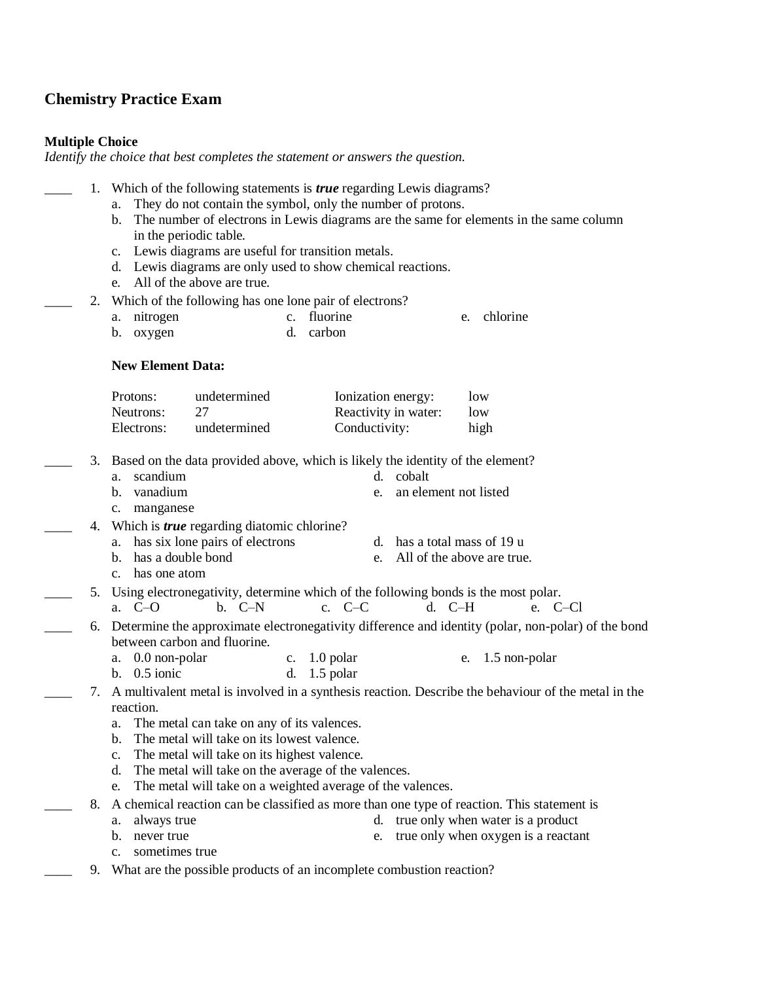# **Chemistry Practice Exam**

### **Multiple Choice**

*Identify the choice that best completes the statement or answers the question.*

|    | Which of the following statements is <i>true</i> regarding Lewis diagrams?                                                                    |  |  |  |  |  |
|----|-----------------------------------------------------------------------------------------------------------------------------------------------|--|--|--|--|--|
|    | They do not contain the symbol, only the number of protons.<br>a.                                                                             |  |  |  |  |  |
|    | The number of electrons in Lewis diagrams are the same for elements in the same column<br>$\mathbf{b}$ .<br>in the periodic table.            |  |  |  |  |  |
|    | Lewis diagrams are useful for transition metals.<br>c.                                                                                        |  |  |  |  |  |
|    | Lewis diagrams are only used to show chemical reactions.<br>d.                                                                                |  |  |  |  |  |
|    | All of the above are true.<br>e.                                                                                                              |  |  |  |  |  |
| 2. | Which of the following has one lone pair of electrons?                                                                                        |  |  |  |  |  |
|    | c. fluorine<br>chlorine<br>nitrogen<br>a.<br>e.                                                                                               |  |  |  |  |  |
|    | carbon<br>oxygen<br>d.<br>b.                                                                                                                  |  |  |  |  |  |
|    | <b>New Element Data:</b>                                                                                                                      |  |  |  |  |  |
|    |                                                                                                                                               |  |  |  |  |  |
|    | Protons:<br>undetermined<br>Ionization energy:<br>low                                                                                         |  |  |  |  |  |
|    | 27<br>Neutrons:<br>Reactivity in water:<br>low                                                                                                |  |  |  |  |  |
|    | Conductivity:<br>Electrons:<br>undetermined<br>high                                                                                           |  |  |  |  |  |
| 3. | Based on the data provided above, which is likely the identity of the element?                                                                |  |  |  |  |  |
|    | scandium<br>d. cobalt<br>a.                                                                                                                   |  |  |  |  |  |
|    | vanadium<br>an element not listed<br>b.<br>e.                                                                                                 |  |  |  |  |  |
|    | c. manganese                                                                                                                                  |  |  |  |  |  |
| 4. | Which is <i>true</i> regarding diatomic chlorine?                                                                                             |  |  |  |  |  |
|    | has six lone pairs of electrons<br>d. has a total mass of 19 u<br>a.                                                                          |  |  |  |  |  |
|    | has a double bond<br>All of the above are true.<br>b.<br>e.<br>has one atom                                                                   |  |  |  |  |  |
|    | $c_{\cdot}$                                                                                                                                   |  |  |  |  |  |
| 5. | Using electronegativity, determine which of the following bonds is the most polar.<br>$b. C-N$<br>a. C-O<br>c. $C-C$<br>$d.$ C-H<br>e. $C-C1$ |  |  |  |  |  |
|    | 6. Determine the approximate electronegativity difference and identity (polar, non-polar) of the bond                                         |  |  |  |  |  |
|    | between carbon and fluorine.                                                                                                                  |  |  |  |  |  |
|    | c. $1.0$ polar<br>a. 0.0 non-polar<br>1.5 non-polar<br>e.                                                                                     |  |  |  |  |  |
|    | b. $0.5$ ionic<br>$1.5$ polar<br>d.                                                                                                           |  |  |  |  |  |
| 7. | A multivalent metal is involved in a synthesis reaction. Describe the behaviour of the metal in the                                           |  |  |  |  |  |
|    | reaction.                                                                                                                                     |  |  |  |  |  |
|    | The metal can take on any of its valences.<br>a.                                                                                              |  |  |  |  |  |
|    | The metal will take on its lowest valence.                                                                                                    |  |  |  |  |  |
|    | The metal will take on its highest valence.<br>$\mathbf{c}$ .<br>The metal will take on the average of the valences.<br>d.                    |  |  |  |  |  |
|    | The metal will take on a weighted average of the valences.<br>e.                                                                              |  |  |  |  |  |
| 8. | A chemical reaction can be classified as more than one type of reaction. This statement is                                                    |  |  |  |  |  |
|    | true only when water is a product<br>always true<br>d.<br>a.                                                                                  |  |  |  |  |  |
|    | never true<br>true only when oxygen is a reactant<br>b.<br>e.                                                                                 |  |  |  |  |  |
|    | sometimes true<br>c.                                                                                                                          |  |  |  |  |  |
| 9. | What are the possible products of an incomplete combustion reaction?                                                                          |  |  |  |  |  |
|    |                                                                                                                                               |  |  |  |  |  |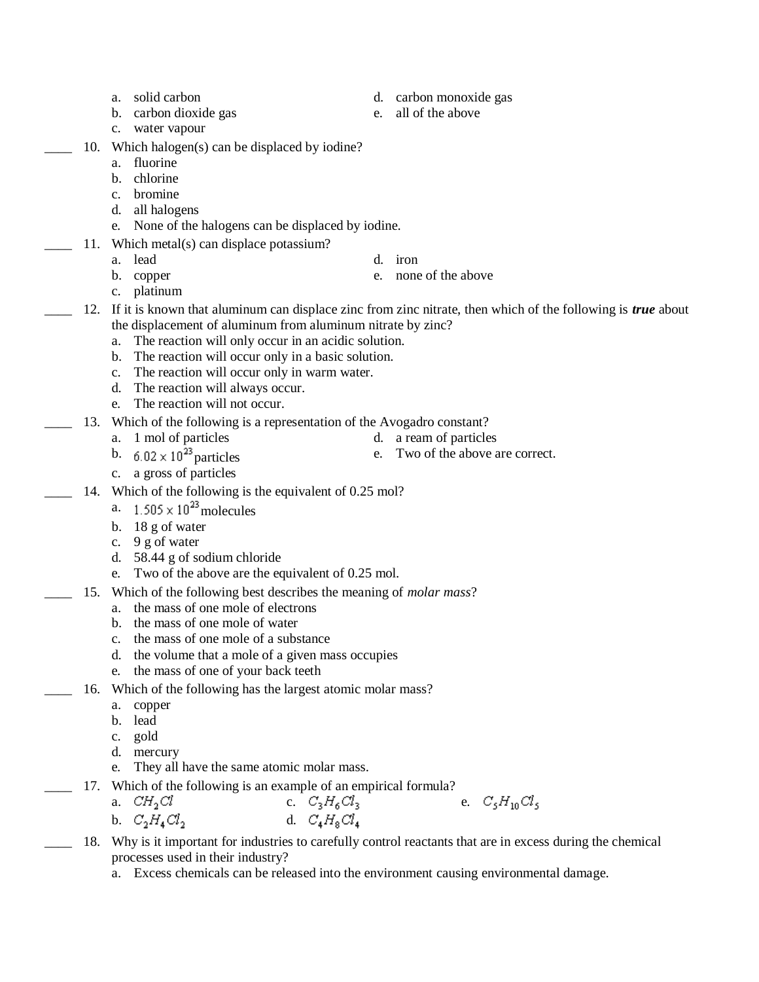- 
- b. carbon dioxide gas e. all of the above
- c. water vapour
- 10. Which halogen(s) can be displaced by iodine?
	- a. fluorine
	- b. chlorine
	- c. bromine
	- d. all halogens
	- e. None of the halogens can be displaced by iodine.
- 11. Which metal(s) can displace potassium?
	- -

- c. platinum
- \_\_\_\_ 12. If it is known that aluminum can displace zinc from zinc nitrate, then which of the following is *true* about the displacement of aluminum from aluminum nitrate by zinc?
	- a. The reaction will only occur in an acidic solution.
	- b. The reaction will occur only in a basic solution.
	- c. The reaction will occur only in warm water.
	- d. The reaction will always occur.
	- e. The reaction will not occur.
- 13. Which of the following is a representation of the Avogadro constant?
	-
- 
- a. 1 mol of particles d. a ream of particles d. a ream of particles b.  $6.02 \times 10^{23}$  particles e. Two of the above a e. Two of the above are correct.
- c. a gross of particles
- 14. Which of the following is the equivalent of 0.25 mol?
	- a.  $1.505 \times 10^{23}$  molecules
	- b. 18 g of water
	- c. 9 g of water
	- d. 58.44 g of sodium chloride
	- e. Two of the above are the equivalent of 0.25 mol.
	- \_\_\_\_ 15. Which of the following best describes the meaning of *molar mass*?
		- a. the mass of one mole of electrons
		- b. the mass of one mole of water
		- c. the mass of one mole of a substance
		- d. the volume that a mole of a given mass occupies
		- e. the mass of one of your back teeth
- 16. Which of the following has the largest atomic molar mass?
	- a. copper
	- b. lead
	- c. gold
	- d. mercury
	- e. They all have the same atomic molar mass.
- 17. Which of the following is an example of an empirical formula?
	- a.  $CH_2Cl$  c.  $C_3H_6Cl_3$  e.  $C_5H_{10}Cl_5$ b.  $C_2H_4Cl_2$  d.  $C_4H_8Cl_4$
- \_\_\_\_ 18. Why is it important for industries to carefully control reactants that are in excess during the chemical processes used in their industry?
	- a. Excess chemicals can be released into the environment causing environmental damage.
- a. solid carbon d. carbon monoxide gas
	-
	-
- b. copper e. none of the above
- a. lead d. iron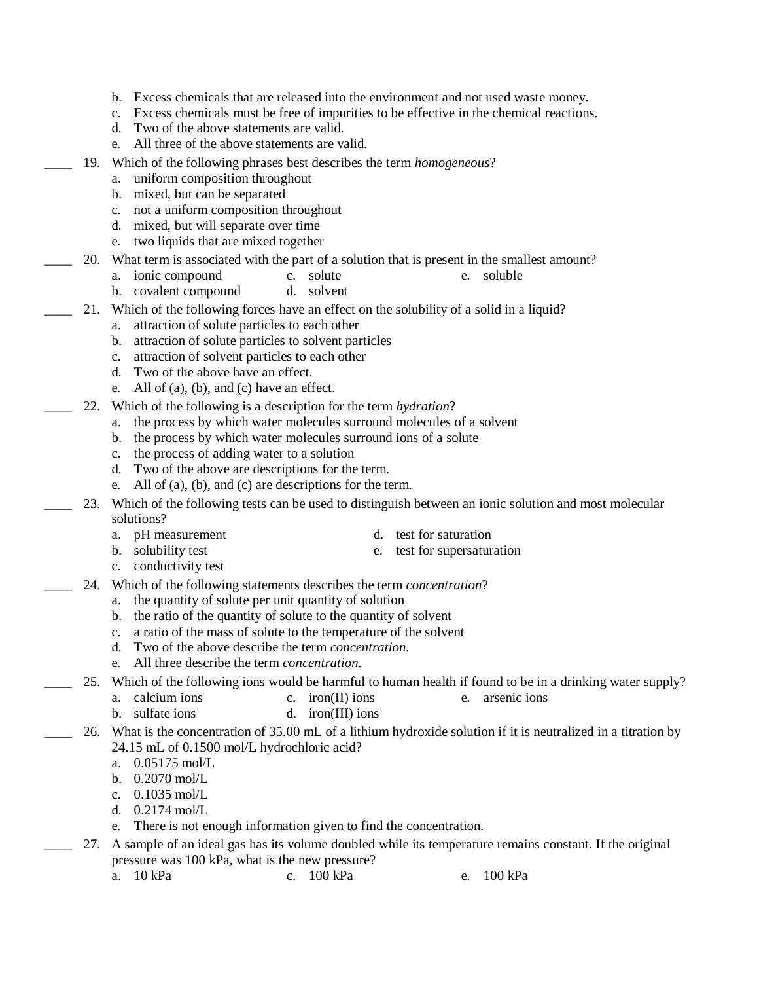- b. Excess chemicals that are released into the environment and not used waste money.
- c. Excess chemicals must be free of impurities to be effective in the chemical reactions.
- d. Two of the above statements are valid.
- e. All three of the above statements are valid.
- \_\_\_\_ 19. Which of the following phrases best describes the term *homogeneous*?
	- a. uniform composition throughout
	- b. mixed, but can be separated
	- c. not a uniform composition throughout
	- d. mixed, but will separate over time
	- e. two liquids that are mixed together
- 20. What term is associated with the part of a solution that is present in the smallest amount?
	- a. ionic compound c. solute e. soluble
	- b. covalent compound d. solvent
- \_\_\_\_ 21. Which of the following forces have an effect on the solubility of a solid in a liquid?
	- a. attraction of solute particles to each other
	- b. attraction of solute particles to solvent particles
	- c. attraction of solvent particles to each other
	- d. Two of the above have an effect.
	- e. All of (a), (b), and (c) have an effect.
- \_\_\_\_ 22. Which of the following is a description for the term *hydration*?
	- a. the process by which water molecules surround molecules of a solvent
	- b. the process by which water molecules surround ions of a solute
	- c. the process of adding water to a solution
	- d. Two of the above are descriptions for the term.
	- e. All of (a), (b), and (c) are descriptions for the term.
- \_\_\_\_ 23. Which of the following tests can be used to distinguish between an ionic solution and most molecular solutions?
	- a. pH measurement d. test for saturation
		- b. solubility test e. test for supersaturation
		- c. conductivity test
	- \_\_\_\_ 24. Which of the following statements describes the term *concentration*?
		- a. the quantity of solute per unit quantity of solution
		- b. the ratio of the quantity of solute to the quantity of solvent
		- c. a ratio of the mass of solute to the temperature of the solvent
		- d. Two of the above describe the term *concentration.*
		- e. All three describe the term *concentration.*
- 25. Which of the following ions would be harmful to human health if found to be in a drinking water supply?
	- a. calcium ions c. iron(II) ions e. arsenic ions
	- b. sulfate ions d. iron(III) ions
	- 26. What is the concentration of 35.00 mL of a lithium hydroxide solution if it is neutralized in a titration by 24.15 mL of 0.1500 mol/L hydrochloric acid?
		- a. 0.05175 mol/L
		- b. 0.2070 mol/L
		- c. 0.1035 mol/L
		- d. 0.2174 mol/L
		- e. There is not enough information given to find the concentration.
- 27. A sample of an ideal gas has its volume doubled while its temperature remains constant. If the original pressure was 100 kPa, what is the new pressure?
	- a. 10 kPa c. 100 kPa e. 100 kPa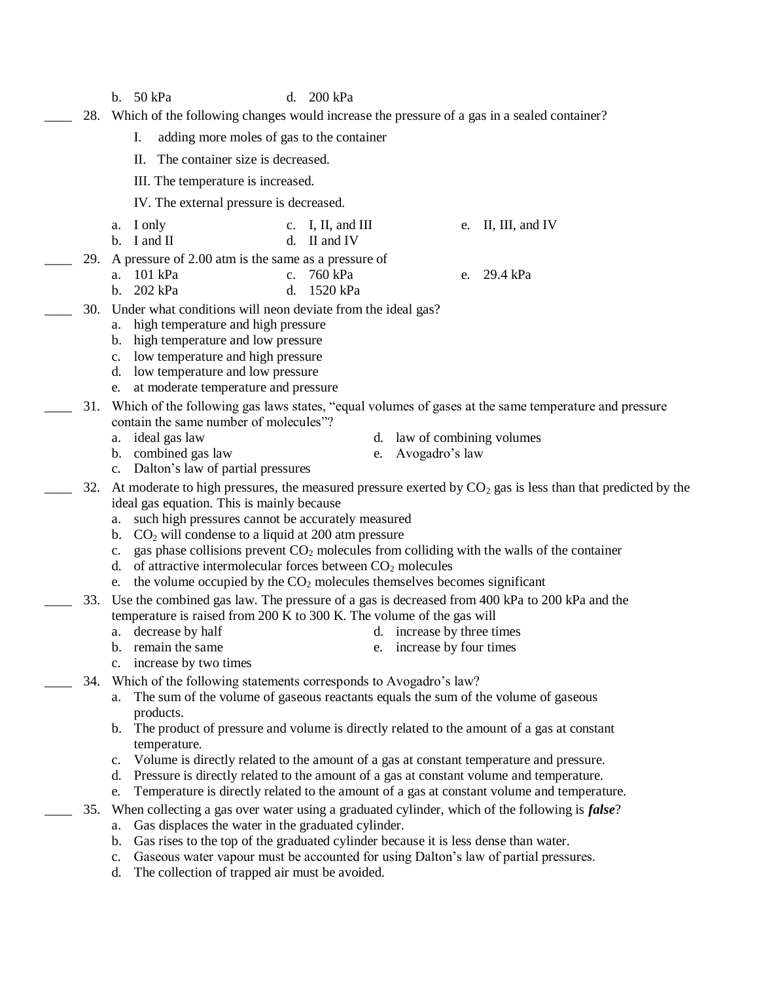- b. 50 kPa d. 200 kPa
- \_\_\_\_ 28. Which of the following changes would increase the pressure of a gas in a sealed container?
	- I. adding more moles of gas to the container
	- II. The container size is decreased.
	- III. The temperature is increased.
	- IV. The external pressure is decreased.
	- a. I only c. I, II, and III e. II, III, and IV b. I and II d. II and IV
- \_\_\_\_ 29. A pressure of 2.00 atm is the same as a pressure of
	- a. 101 kPa c. 760 kPa e. 29.4 kPa
	- b. 202 kPa d. 1520 kPa
- 30. Under what conditions will neon deviate from the ideal gas?
	- a. high temperature and high pressure
	- b. high temperature and low pressure
	- c. low temperature and high pressure
	- d. low temperature and low pressure
	- e. at moderate temperature and pressure
	- \_\_\_\_ 31. Which of the following gas laws states, "equal volumes of gases at the same temperature and pressure contain the same number of molecules"?
		-
		- a. ideal gas law d. law of combining volumes
		- b. combined gas law e. Avogadro's law
			-
		- c. Dalton's law of partial pressures
	- 32. At moderate to high pressures, the measured pressure exerted by  $CO_2$  gas is less than that predicted by the ideal gas equation. This is mainly because
		- a. such high pressures cannot be accurately measured
		- b.  $CO<sub>2</sub>$  will condense to a liquid at 200 atm pressure
		- c. gas phase collisions prevent  $CO<sub>2</sub>$  molecules from colliding with the walls of the container
		- d. of attractive intermolecular forces between  $CO<sub>2</sub>$  molecules
		- e. the volume occupied by the  $CO<sub>2</sub>$  molecules themselves becomes significant
- \_\_\_\_ 33. Use the combined gas law. The pressure of a gas is decreased from 400 kPa to 200 kPa and the temperature is raised from 200 K to 300 K. The volume of the gas will
	- a. decrease by half d. increase by three times
	- b. remain the same e. increase by four times
	- c. increase by two times
- 34. Which of the following statements corresponds to Avogadro's law?
	- a. The sum of the volume of gaseous reactants equals the sum of the volume of gaseous products.
	- b. The product of pressure and volume is directly related to the amount of a gas at constant temperature.
	- c. Volume is directly related to the amount of a gas at constant temperature and pressure.
	- d. Pressure is directly related to the amount of a gas at constant volume and temperature.
	- e. Temperature is directly related to the amount of a gas at constant volume and temperature.
	- \_\_\_\_ 35. When collecting a gas over water using a graduated cylinder, which of the following is *false*?
		- a. Gas displaces the water in the graduated cylinder.
		- b. Gas rises to the top of the graduated cylinder because it is less dense than water.
		- c. Gaseous water vapour must be accounted for using Dalton's law of partial pressures.
		- d. The collection of trapped air must be avoided.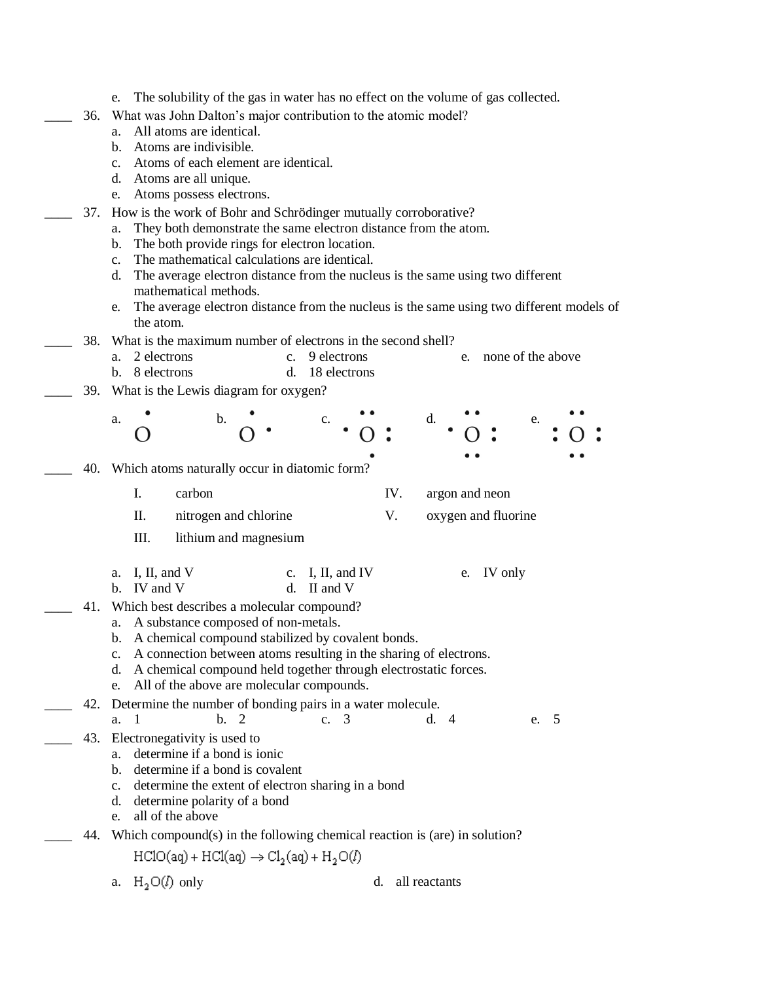|     | The solubility of the gas in water has no effect on the volume of gas collected.<br>e.                            |  |  |  |  |  |
|-----|-------------------------------------------------------------------------------------------------------------------|--|--|--|--|--|
| 36. | What was John Dalton's major contribution to the atomic model?                                                    |  |  |  |  |  |
|     | All atoms are identical.<br>а.<br>b. Atoms are indivisible.                                                       |  |  |  |  |  |
|     | c. Atoms of each element are identical.                                                                           |  |  |  |  |  |
|     | d. Atoms are all unique.                                                                                          |  |  |  |  |  |
|     | Atoms possess electrons.<br>e.                                                                                    |  |  |  |  |  |
| 37. | How is the work of Bohr and Schrödinger mutually corroborative?                                                   |  |  |  |  |  |
|     | They both demonstrate the same electron distance from the atom.<br>a.                                             |  |  |  |  |  |
|     | The both provide rings for electron location.<br>$\mathbf{b}$ .                                                   |  |  |  |  |  |
|     | The mathematical calculations are identical.<br>$c_{\cdot}$                                                       |  |  |  |  |  |
|     | The average electron distance from the nucleus is the same using two different<br>d.                              |  |  |  |  |  |
|     | mathematical methods.<br>The average electron distance from the nucleus is the same using two different models of |  |  |  |  |  |
|     | e.<br>the atom.                                                                                                   |  |  |  |  |  |
| 38. | What is the maximum number of electrons in the second shell?                                                      |  |  |  |  |  |
|     | none of the above<br>2 electrons<br>c. 9 electrons<br>а.<br>e.                                                    |  |  |  |  |  |
|     | b. 8 electrons<br>18 electrons<br>d.                                                                              |  |  |  |  |  |
| 39. | What is the Lewis diagram for oxygen?                                                                             |  |  |  |  |  |
|     |                                                                                                                   |  |  |  |  |  |
|     | b.<br>d.<br>a.<br>e.                                                                                              |  |  |  |  |  |
|     |                                                                                                                   |  |  |  |  |  |
| 40. | Which atoms naturally occur in diatomic form?                                                                     |  |  |  |  |  |
|     | I.<br>IV.<br>carbon<br>argon and neon                                                                             |  |  |  |  |  |
|     | II.<br>nitrogen and chlorine<br>V.<br>oxygen and fluorine                                                         |  |  |  |  |  |
|     | III.<br>lithium and magnesium                                                                                     |  |  |  |  |  |
|     |                                                                                                                   |  |  |  |  |  |
|     | a. I, II, and $V$<br>c. I, II, and IV<br>IV only<br>e.                                                            |  |  |  |  |  |
|     | b. IV and V<br>II and V<br>d.                                                                                     |  |  |  |  |  |
| 41. | Which best describes a molecular compound?                                                                        |  |  |  |  |  |
|     | a. A substance composed of non-metals.<br>b. A chemical compound stabilized by covalent bonds.                    |  |  |  |  |  |
|     | A connection between atoms resulting in the sharing of electrons.<br>$c_{\cdot}$                                  |  |  |  |  |  |
|     | A chemical compound held together through electrostatic forces.<br>d.                                             |  |  |  |  |  |
|     | All of the above are molecular compounds.<br>e.                                                                   |  |  |  |  |  |
| 42. | Determine the number of bonding pairs in a water molecule.                                                        |  |  |  |  |  |
|     | a. 1<br>b.<br>2<br>c. $3$<br>d.4<br>e. 5                                                                          |  |  |  |  |  |
| 43. | Electronegativity is used to                                                                                      |  |  |  |  |  |
|     | determine if a bond is ionic<br>a.                                                                                |  |  |  |  |  |
|     | determine if a bond is covalent<br>b.<br>c. determine the extent of electron sharing in a bond                    |  |  |  |  |  |
|     | d. determine polarity of a bond                                                                                   |  |  |  |  |  |
|     | all of the above<br>e.                                                                                            |  |  |  |  |  |
| 44. | Which compound(s) in the following chemical reaction is (are) in solution?                                        |  |  |  |  |  |
|     | $HClO(aq) + HCl(aq) \rightarrow Cl2(aq) + H2O(l)$                                                                 |  |  |  |  |  |
|     |                                                                                                                   |  |  |  |  |  |
|     | $H_2O(l)$ only<br>all reactants<br>d.<br>a.                                                                       |  |  |  |  |  |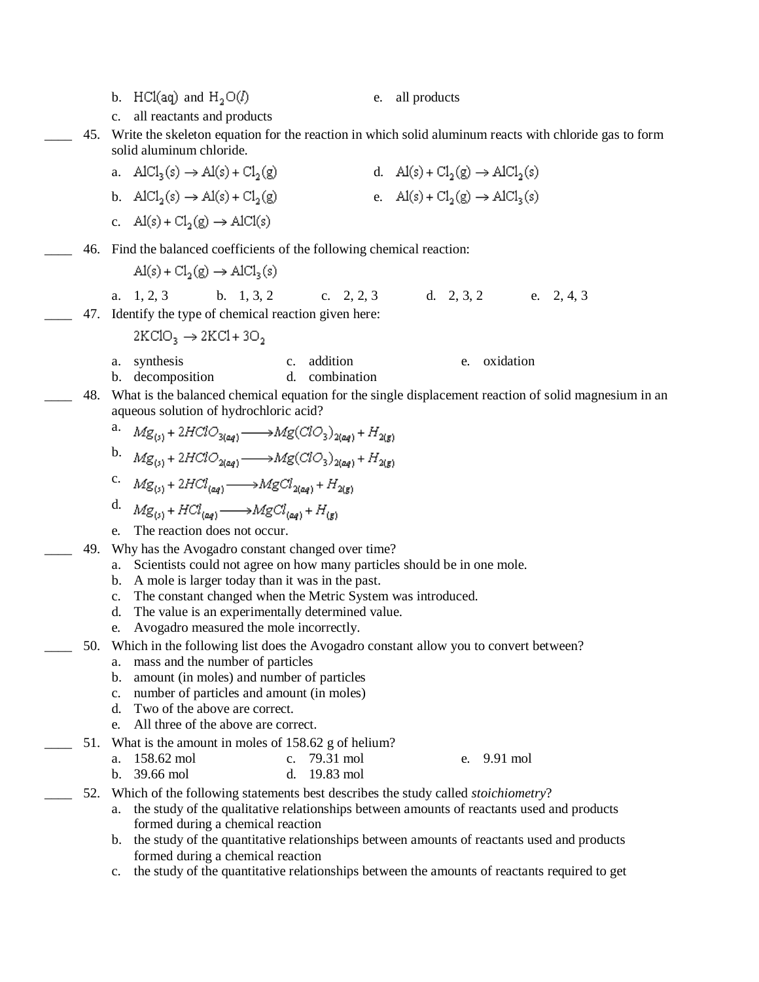c. all reactants and products \_\_\_\_ 45. Write the skeleton equation for the reaction in which solid aluminum reacts with chloride gas to form solid aluminum chloride. a.  $AICI_2(s) \rightarrow AI(s) + CI_2(g)$  d.  $AI(s) + CI_2(g) \rightarrow AICI_2(s)$ b.  $AICI_2(s) \rightarrow AI(s) + CI_2(g)$  e.  $AI(s) + CI_2(g) \rightarrow AICI_2(s)$ c.  $\text{Al}(s) + \text{Cl}_2(g) \rightarrow \text{AlCl}(s)$ \_\_\_\_ 46. Find the balanced coefficients of the following chemical reaction:  $\text{Al}(s) + \text{Cl}_2(g) \rightarrow \text{AlCl}_2(s)$ a. 1, 2, 3 b. 1, 3, 2 c. 2, 2, 3 d. 2, 3, 2 e. 2, 4, 3 47. Identify the type of chemical reaction given here:  $2KCIO_2 \rightarrow 2KCI + 3O_2$ a. synthesis c. addition e. oxidation b. decomposition d. combination 48. What is the balanced chemical equation for the single displacement reaction of solid magnesium in an aqueous solution of hydrochloric acid? a.  $M\textstyle{\mathbf{g}}_{(s)}+2HClO_{3(aq)} \xrightarrow{\qquad \qquad }M\textstyle{\mathbf{g}(ClO_3)_{2(aq)}+H_{2(g)}}$ b.  $Mg_{(s)}$  + 2HClO<sub>2(aq)</sub>  $\longrightarrow$ Mg(ClO<sub>3</sub>)<sub>2(aq)</sub> + H<sub>2(g)</sub> c.  $Mg_{(s)}$  + 2HCl<sub>(aq)</sub>  $\longrightarrow$  MgCl<sub>2(aq)</sub> + H<sub>2(g)</sub> d.  $Mg_{(s)} + HCl_{(aq)} \longrightarrow MgCl_{(aq)} + H_{(g)}$ e. The reaction does not occur. \_\_\_\_ 49. Why has the Avogadro constant changed over time? a. Scientists could not agree on how many particles should be in one mole. b. A mole is larger today than it was in the past. c. The constant changed when the Metric System was introduced. d. The value is an experimentally determined value. e. Avogadro measured the mole incorrectly. 50. Which in the following list does the Avogadro constant allow you to convert between? a. mass and the number of particles b. amount (in moles) and number of particles c. number of particles and amount (in moles) d. Two of the above are correct. e. All three of the above are correct. 51. What is the amount in moles of 158.62 g of helium? a. 158.62 mol c. 79.31 mol e. 9.91 mol b. 39.66 mol d. 19.83 mol \_\_\_\_ 52. Which of the following statements best describes the study called *stoichiometry*? a. the study of the qualitative relationships between amounts of reactants used and products formed during a chemical reaction b. the study of the quantitative relationships between amounts of reactants used and products formed during a chemical reaction c. the study of the quantitative relationships between the amounts of reactants required to get

b. HCl(aq) and  $H_2O(l)$  e. all products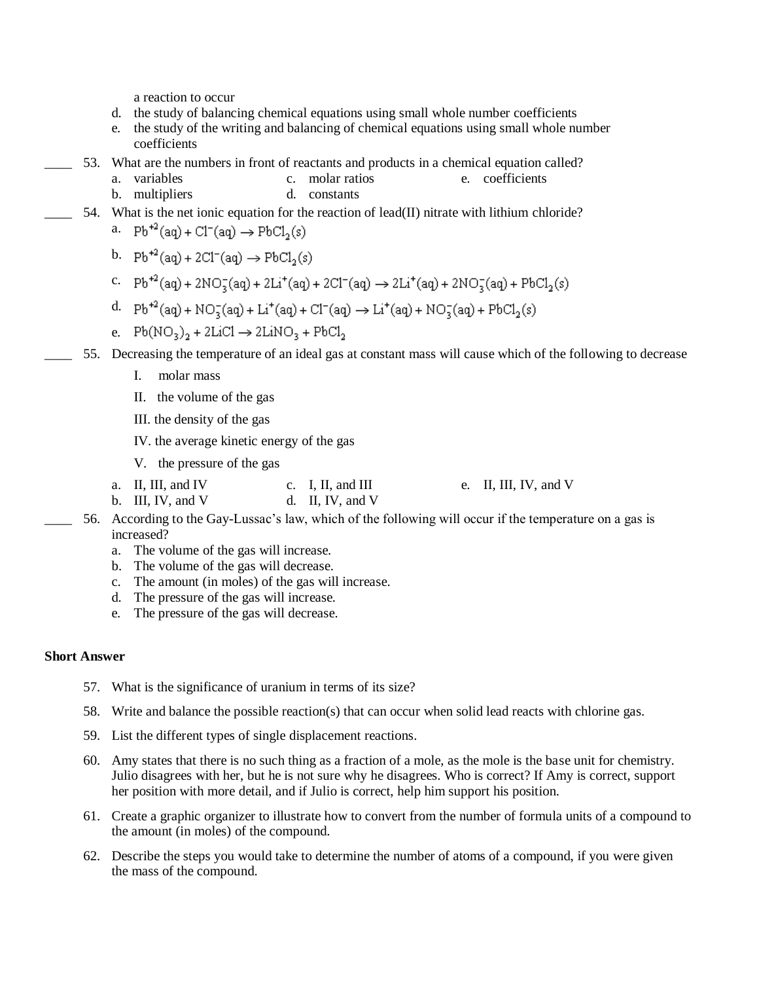a reaction to occur

- d. the study of balancing chemical equations using small whole number coefficients
- e. the study of the writing and balancing of chemical equations using small whole number coefficients
- 53. What are the numbers in front of reactants and products in a chemical equation called?
	- a. variables c. molar ratios e. coefficients
		- b. multipliers d. constants

### 54. What is the net ionic equation for the reaction of lead(II) nitrate with lithium chloride?

- a.  $Pb^{+2}(aq) + Cl^{-}(aq) \rightarrow PbCl_2(s)$
- b.  $Pb^{+2}(aq) + 2Cl^{-}(aq) \rightarrow PbCl_{2}(s)$
- c.  $Pb^{+2}(aq) + 2NO_2(aq) + 2Li^+(aq) + 2Cl^-(aq) \rightarrow 2Li^+(aq) + 2NO_2(aq) + PbCl_2(s)$
- d.  $Pb^{+2}(aq) + NO_2(aq) + Li^+(aq) + Cl^-(aq) \rightarrow Li^+(aq) + NO_2(aq) + PbCl_2(s)$
- e.  $Pb(NO_3)_2 + 2LiCl \rightarrow 2LiNO_3 + PbCl_2$
- \_\_\_\_ 55. Decreasing the temperature of an ideal gas at constant mass will cause which of the following to decrease
	- I. molar mass
	- II. the volume of the gas
	- III. the density of the gas
	- IV. the average kinetic energy of the gas
	- V. the pressure of the gas
	- a. II, III, and IV c. I, II, and III e. II, III, IV, and V
	- b. III, IV, and V d. II, IV, and V
- \_\_\_\_ 56. According to the Gay-Lussac's law, which of the following will occur if the temperature on a gas is increased?
	- a. The volume of the gas will increase.
	- b. The volume of the gas will decrease.
	- c. The amount (in moles) of the gas will increase.
	- d. The pressure of the gas will increase.
	- e. The pressure of the gas will decrease.

#### **Short Answer**

- 57. What is the significance of uranium in terms of its size?
- 58. Write and balance the possible reaction(s) that can occur when solid lead reacts with chlorine gas.
- 59. List the different types of single displacement reactions.
- 60. Amy states that there is no such thing as a fraction of a mole, as the mole is the base unit for chemistry. Julio disagrees with her, but he is not sure why he disagrees. Who is correct? If Amy is correct, support her position with more detail, and if Julio is correct, help him support his position.
- 61. Create a graphic organizer to illustrate how to convert from the number of formula units of a compound to the amount (in moles) of the compound.
- 62. Describe the steps you would take to determine the number of atoms of a compound, if you were given the mass of the compound.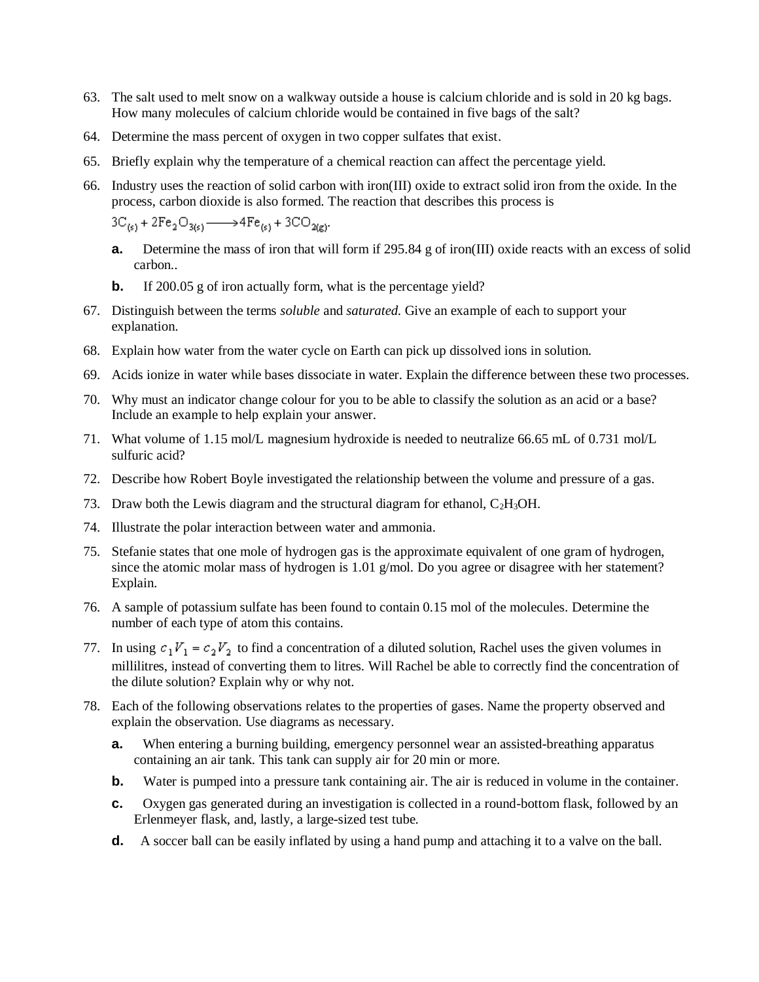- 63. The salt used to melt snow on a walkway outside a house is calcium chloride and is sold in 20 kg bags. How many molecules of calcium chloride would be contained in five bags of the salt?
- 64. Determine the mass percent of oxygen in two copper sulfates that exist.
- 65. Briefly explain why the temperature of a chemical reaction can affect the percentage yield.
- 66. Industry uses the reaction of solid carbon with iron(III) oxide to extract solid iron from the oxide. In the process, carbon dioxide is also formed. The reaction that describes this process is

 $3C_{(s)} + 2Fe_2O_{3(s)} \longrightarrow 4Fe_{(s)} + 3CO_{2(g)}.$ 

- **a.** Determine the mass of iron that will form if 295.84 g of iron(III) oxide reacts with an excess of solid carbon..
- **b.** If 200.05 g of iron actually form, what is the percentage yield?
- 67. Distinguish between the terms *soluble* and *saturated.* Give an example of each to support your explanation.
- 68. Explain how water from the water cycle on Earth can pick up dissolved ions in solution.
- 69. Acids ionize in water while bases dissociate in water. Explain the difference between these two processes.
- 70. Why must an indicator change colour for you to be able to classify the solution as an acid or a base? Include an example to help explain your answer.
- 71. What volume of 1.15 mol/L magnesium hydroxide is needed to neutralize 66.65 mL of 0.731 mol/L sulfuric acid?
- 72. Describe how Robert Boyle investigated the relationship between the volume and pressure of a gas.
- 73. Draw both the Lewis diagram and the structural diagram for ethanol,  $C_2H_3OH$ .
- 74. Illustrate the polar interaction between water and ammonia.
- 75. Stefanie states that one mole of hydrogen gas is the approximate equivalent of one gram of hydrogen, since the atomic molar mass of hydrogen is 1.01 g/mol. Do you agree or disagree with her statement? Explain.
- 76. A sample of potassium sulfate has been found to contain 0.15 mol of the molecules. Determine the number of each type of atom this contains.
- 77. In using  $c_1V_1 = c_2V_2$  to find a concentration of a diluted solution, Rachel uses the given volumes in millilitres, instead of converting them to litres. Will Rachel be able to correctly find the concentration of the dilute solution? Explain why or why not.
- 78. Each of the following observations relates to the properties of gases. Name the property observed and explain the observation. Use diagrams as necessary.
	- **a.** When entering a burning building, emergency personnel wear an assisted-breathing apparatus containing an air tank. This tank can supply air for 20 min or more.
	- **b.** Water is pumped into a pressure tank containing air. The air is reduced in volume in the container.
	- **c.** Oxygen gas generated during an investigation is collected in a round-bottom flask, followed by an Erlenmeyer flask, and, lastly, a large-sized test tube.
	- **d.** A soccer ball can be easily inflated by using a hand pump and attaching it to a valve on the ball.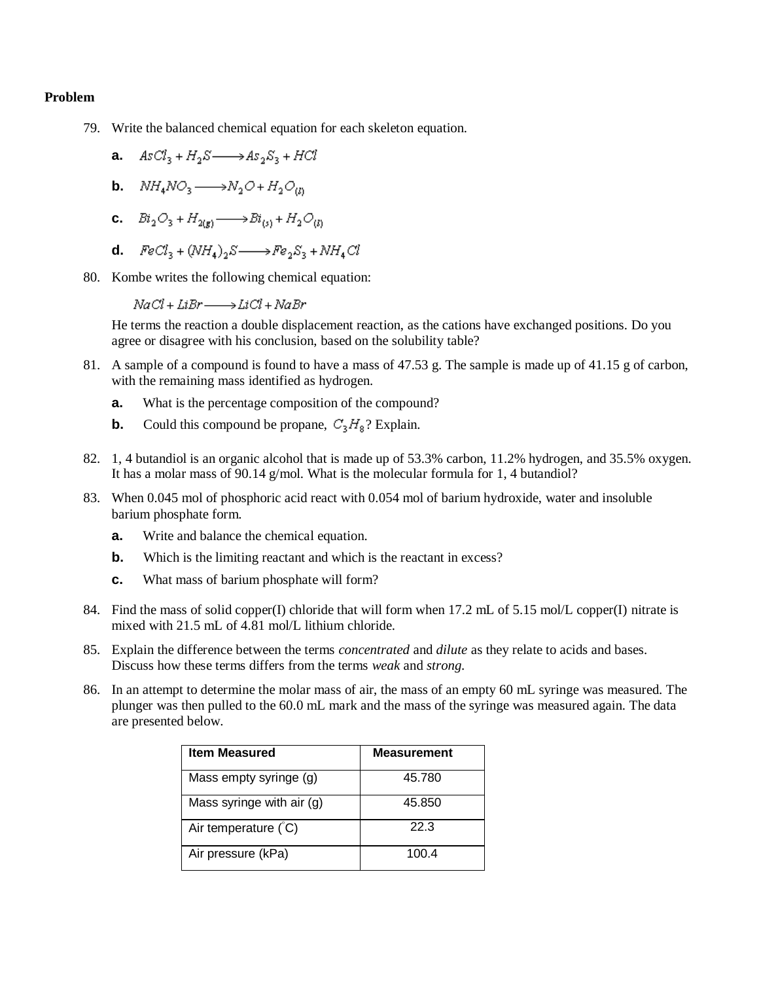### **Problem**

- 79. Write the balanced chemical equation for each skeleton equation.
	- **a.**  $AsCl_3 + H_2S \longrightarrow As_2S_3 + HCl$
	- **b.**  $NH_4NO_3 \longrightarrow N_2O + H_2O_{(l)}$
	- **c.**  $Bi_2O_3 + H_{2(n)} \longrightarrow Bi_{(s)} + H_2O_{(l)}$
	- **d.**  $\text{FeCl}_3 + (\text{NH}_4)_2S \longrightarrow \text{Fe}_2S_3 + \text{NH}_4Cl$
- 80. Kombe writes the following chemical equation:

 $NaCl + LiBr \longrightarrow LiCl + NaBr$ 

He terms the reaction a double displacement reaction, as the cations have exchanged positions. Do you agree or disagree with his conclusion, based on the solubility table?

- 81. A sample of a compound is found to have a mass of 47.53 g. The sample is made up of 41.15 g of carbon, with the remaining mass identified as hydrogen.
	- **a.** What is the percentage composition of the compound?
	- **b.** Could this compound be propane,  $C_3H_8$ ? Explain.
- 82. 1, 4 butandiol is an organic alcohol that is made up of 53.3% carbon, 11.2% hydrogen, and 35.5% oxygen. It has a molar mass of 90.14 g/mol. What is the molecular formula for 1, 4 butandiol?
- 83. When 0.045 mol of phosphoric acid react with 0.054 mol of barium hydroxide, water and insoluble barium phosphate form.
	- **a.** Write and balance the chemical equation.
	- **b.** Which is the limiting reactant and which is the reactant in excess?
	- **c.** What mass of barium phosphate will form?
- 84. Find the mass of solid copper(I) chloride that will form when 17.2 mL of 5.15 mol/L copper(I) nitrate is mixed with 21.5 mL of 4.81 mol/L lithium chloride.
- 85. Explain the difference between the terms *concentrated* and *dilute* as they relate to acids and bases. Discuss how these terms differs from the terms *weak* and *strong.*
- 86. In an attempt to determine the molar mass of air, the mass of an empty 60 mL syringe was measured. The plunger was then pulled to the 60.0 mL mark and the mass of the syringe was measured again. The data are presented below.

| <b>Item Measured</b>      | <b>Measurement</b> |
|---------------------------|--------------------|
| Mass empty syringe (g)    | 45.780             |
| Mass syringe with air (g) | 45.850             |
| Air temperature $(C)$     | 22.3               |
| Air pressure (kPa)        | 100.4              |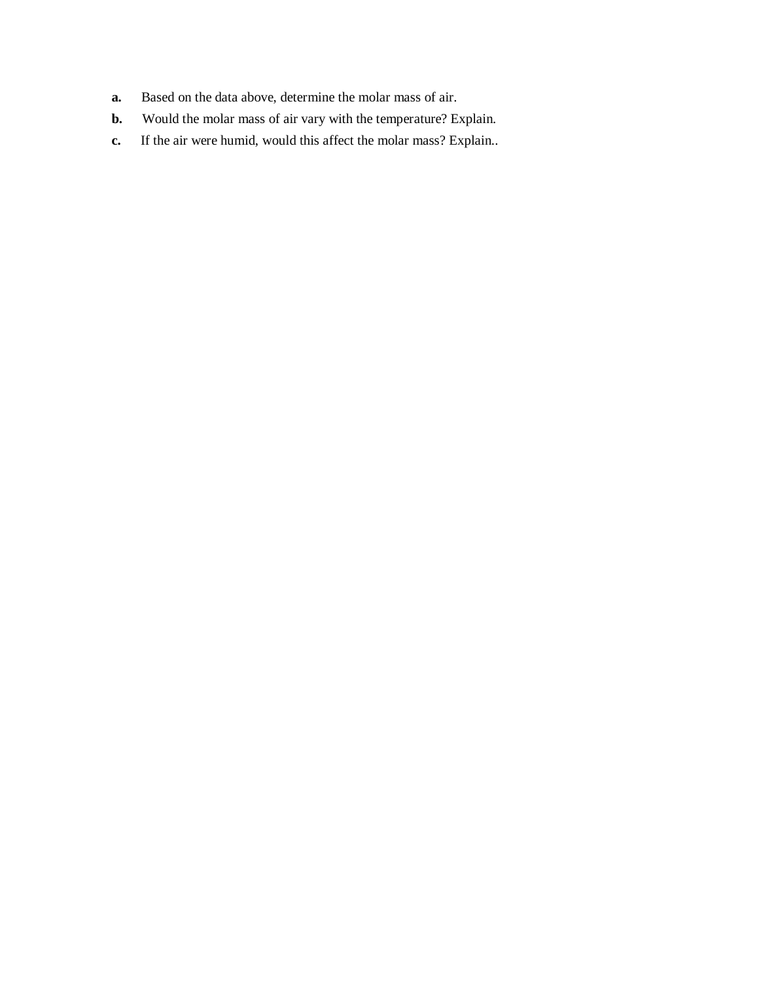- **a.** Based on the data above, determine the molar mass of air.
- **b.** Would the molar mass of air vary with the temperature? Explain.
- **c.** If the air were humid, would this affect the molar mass? Explain..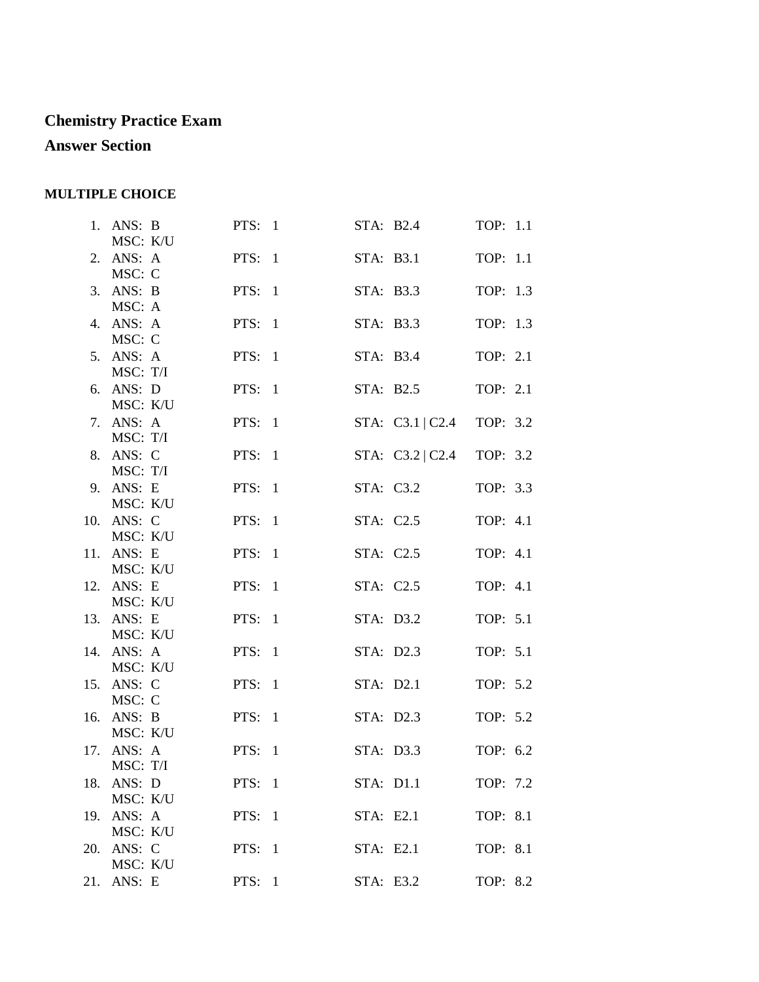# **Chemistry Practice Exam**

## **Answer Section**

### **MULTIPLE CHOICE**

| 1. ANS: B<br>MSC: K/U  | PTS: $1$ |           | STA: B2.4          | TOP: 1.1 |  |
|------------------------|----------|-----------|--------------------|----------|--|
| 2. ANS: A<br>MSC: C    | PTS: $1$ |           | STA: B3.1          | TOP: 1.1 |  |
| 3. ANS: B              | PTS: $1$ |           | STA: B3.3          | TOP: 1.3 |  |
| MSC: A<br>4. ANS: A    | PTS: $1$ |           | STA: B3.3          | TOP: 1.3 |  |
| MSC: C<br>5. ANS: A    | PTS: $1$ |           | STA: B3.4          | TOP: 2.1 |  |
| MSC: T/I<br>6. ANS: D  | PTS: $1$ |           | STA: B2.5          | TOP: 2.1 |  |
| MSC: K/U<br>7. ANS: A  | PTS: $1$ |           | STA: C3.1   C2.4   | TOP: 3.2 |  |
| MSC: T/I<br>8. ANS: C  | PTS: $1$ |           | STA: $C3.2   C2.4$ | TOP: 3.2 |  |
| MSC: T/I<br>9. ANS: E  | PTS: $1$ |           | STA: C3.2          | TOP: 3.3 |  |
| MSC: K/U<br>10. ANS: C | PTS: $1$ |           | STA: C2.5          | TOP: 4.1 |  |
| MSC: K/U<br>11. ANS: E | PTS: $1$ |           | STA: C2.5          | TOP: 4.1 |  |
| MSC: K/U<br>12. ANS: E | PTS: $1$ |           | STA: C2.5          | TOP: 4.1 |  |
| MSC: K/U<br>13. ANS: E | PTS: $1$ |           | STA: D3.2          | TOP: 5.1 |  |
| MSC: K/U<br>14. ANS: A | PTS: $1$ |           | STA: D2.3          | TOP: 5.1 |  |
| MSC: K/U<br>15. ANS: C | PTS: $1$ |           | STA: D2.1          | TOP: 5.2 |  |
| MSC: C                 |          |           |                    |          |  |
| 16. ANS: B<br>MSC: K/U | PTS: $1$ |           | STA: D2.3          | TOP: 5.2 |  |
| 17. ANS: A<br>MSC: T/I | PTS: $1$ |           | STA: D3.3          | TOP: 6.2 |  |
| 18. ANS: D<br>MSC: K/U | PTS: $1$ |           | STA: D1.1          | TOP: 7.2 |  |
| 19. ANS: A<br>MSC: K/U | PTS: $1$ |           | STA: E2.1          | TOP: 8.1 |  |
| 20. ANS: C<br>MSC: K/U | PTS: $1$ |           | STA: E2.1          | TOP: 8.1 |  |
| 21. ANS: E             | PTS: $1$ | STA: E3.2 |                    | TOP: 8.2 |  |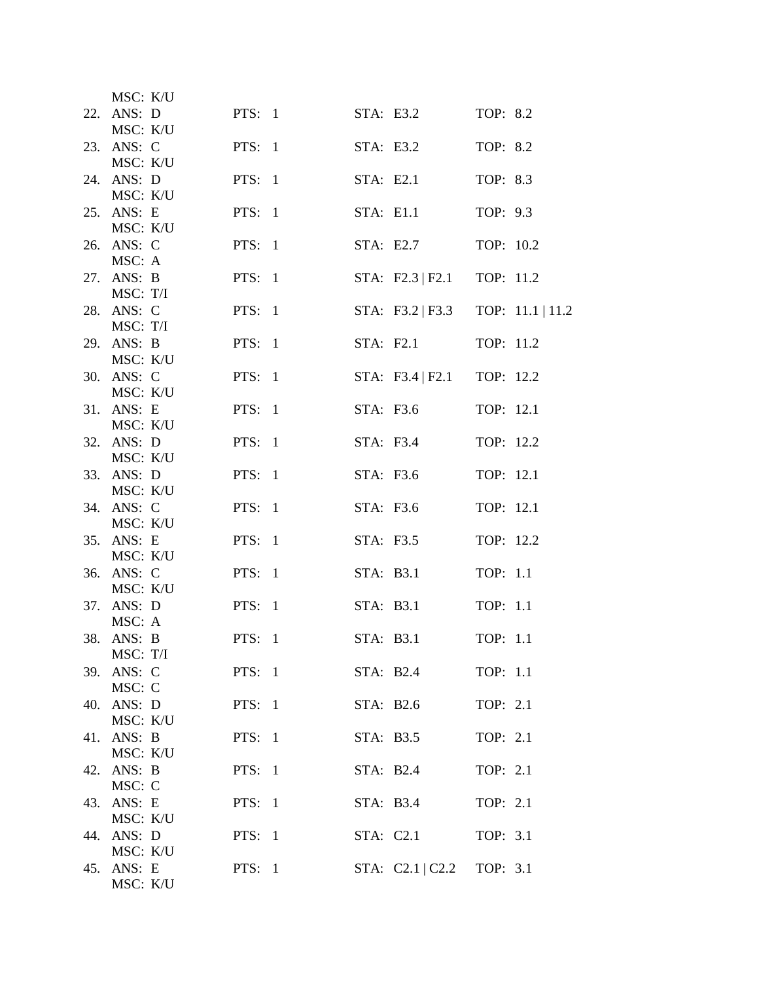| MSC: K/U               |          |           |                               |           |                  |
|------------------------|----------|-----------|-------------------------------|-----------|------------------|
| 22. ANS: D             | PTS: 1   |           | STA: E3.2                     | TOP: 8.2  |                  |
| MSC: K/U<br>23. ANS: C | PTS: 1   |           | STA: E3.2                     | TOP: 8.2  |                  |
| MSC: K/U               |          |           |                               |           |                  |
| 24. ANS: D             | PTS: $1$ |           | STA: E2.1                     | TOP: 8.3  |                  |
| MSC: K/U<br>25. ANS: E | PTS: $1$ | STA: E1.1 |                               | TOP: 9.3  |                  |
| MSC: K/U               |          |           |                               |           |                  |
| 26. ANS: C             | PTS: $1$ |           | STA: E2.7                     | TOP: 10.2 |                  |
| MSC: A<br>27. ANS: B   | PTS: 1   |           | STA: $F2.3   F2.1$            | TOP: 11.2 |                  |
| MSC: T/I               |          |           |                               |           |                  |
| 28. ANS: C             | PTS: $1$ |           | STA: $F3.2 \mid F3.3$         |           | TOP: 11.1   11.2 |
| MSC: T/I<br>29. ANS: B | PTS: $1$ |           | STA: F2.1                     | TOP: 11.2 |                  |
| MSC: K/U               |          |           |                               |           |                  |
| 30. ANS: C             | PTS: $1$ |           | STA: $F3.4 \mid F2.1$         | TOP: 12.2 |                  |
| MSC: K/U<br>31. ANS: E | PTS: $1$ |           | STA: F3.6                     | TOP: 12.1 |                  |
| MSC: K/U               |          |           |                               |           |                  |
| 32. ANS: D             | PTS: $1$ |           | STA: F3.4                     | TOP: 12.2 |                  |
| MSC: K/U<br>33. ANS: D | PTS: $1$ |           | STA: F3.6                     | TOP: 12.1 |                  |
| MSC: K/U               |          |           |                               |           |                  |
| 34. ANS: C             | PTS: $1$ |           | STA: F3.6                     | TOP: 12.1 |                  |
| MSC: K/U<br>35. ANS: E | PTS: $1$ |           | STA: F3.5                     | TOP: 12.2 |                  |
| MSC: K/U               |          |           |                               |           |                  |
| 36. ANS: C             | PTS: $1$ |           | STA: B3.1                     | TOP: 1.1  |                  |
| MSC: K/U<br>37. ANS: D | PTS: $1$ |           | STA: B3.1                     | TOP: 1.1  |                  |
| MSC: A                 |          |           |                               |           |                  |
| 38. ANS: B             | PTS: 1   |           | STA: B3.1                     | TOP: 1.1  |                  |
| MSC: T/I<br>39. ANS: C | PTS: 1   |           | STA: B2.4                     | TOP: 1.1  |                  |
| MSC: C                 |          |           |                               |           |                  |
| 40. ANS: D             | PTS: 1   | STA: B2.6 |                               | TOP: 2.1  |                  |
| MSC: K/U<br>41. ANS: B | PTS: 1   | STA: B3.5 |                               | TOP: 2.1  |                  |
| MSC: K/U               |          |           |                               |           |                  |
| 42. ANS: B             | PTS: $1$ | STA: B2.4 |                               | TOP: 2.1  |                  |
| MSC: C<br>43. ANS: E   | PTS: 1   | STA: B3.4 |                               | TOP: 2.1  |                  |
| MSC: K/U               |          |           |                               |           |                  |
| 44. ANS: D             | PTS: 1   |           | STA: C2.1                     | TOP: 3.1  |                  |
| MSC: K/U<br>45. ANS: E | PTS: 1   |           | STA: $C2.1   C2.2   TOP: 3.1$ |           |                  |
| MSC: K/U               |          |           |                               |           |                  |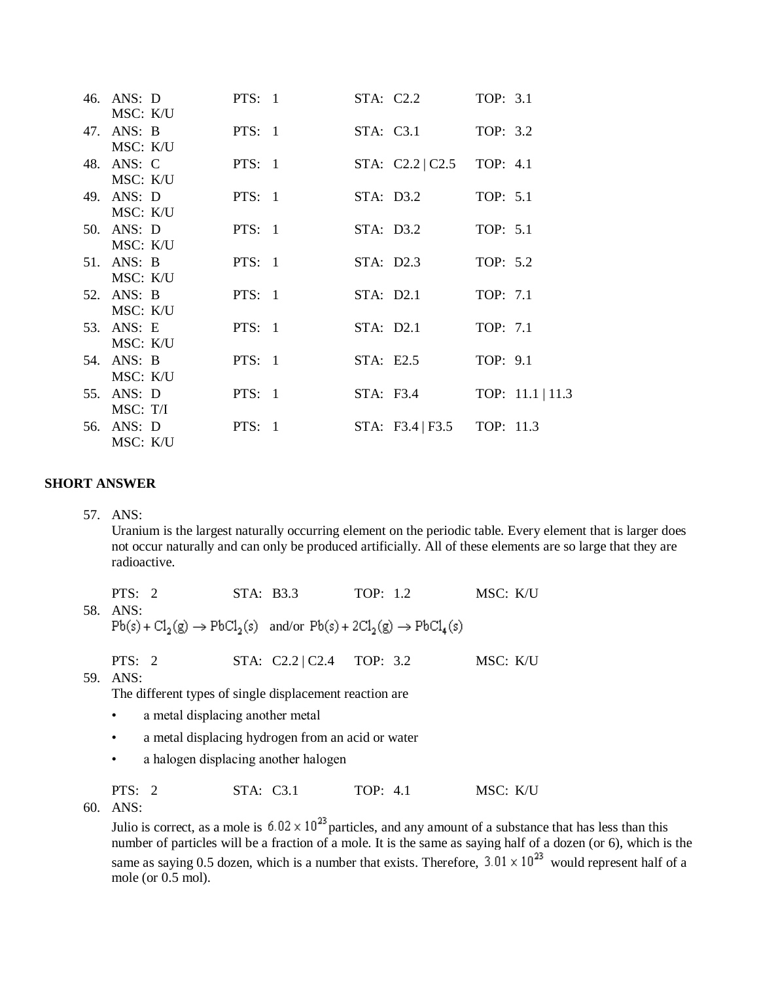| 46. ANS: D             | PTS: 1         | STA: C2.2                     | TOP: 3.1         |
|------------------------|----------------|-------------------------------|------------------|
| MSC: K/U               |                |                               |                  |
| 47. ANS: B             | <b>PTS</b> : 1 | STA: C3.1                     | TOP: 3.2         |
| MSC: K/U               |                |                               |                  |
| 48. ANS: C             | PTS: 1         | STA: $C2.2   C2.5   TOP: 4.1$ |                  |
| MSC: K/U               |                |                               |                  |
| 49. ANS: D             | <b>PTS:</b> 1  | STA: D3.2                     | TOP: 5.1         |
| MSC: K/U               |                |                               |                  |
| 50. ANS: D             | PTS: 1         | STA: D3.2                     | TOP: 5.1         |
| MSC: K/U               |                |                               |                  |
| 51. ANS: B             | PTS: 1         | STA: D2.3                     | TOP: 5.2         |
| MSC: K/U               |                |                               |                  |
| 52. ANS: B             | <b>PTS:</b> 1  | STA: D2.1                     | TOP: 7.1         |
| MSC: K/U               |                |                               |                  |
| 53. ANS: E             | PTS: 1         | STA: D2.1                     | TOP: 7.1         |
| MSC: K/U               |                |                               |                  |
| 54. ANS: B<br>MSC: K/U | PTS: 1         | STA: E2.5                     | TOP: 9.1         |
| 55. ANS: D             | PTS: 1         | STA: F3.4                     | TOP: 11.1   11.3 |
| MSC: T/I               |                |                               |                  |
| 56. ANS: D             | PTS: 1         | STA: F3.4   F3.5 TOP: 11.3    |                  |
| MSC: K/U               |                |                               |                  |
|                        |                |                               |                  |

### **SHORT ANSWER**

57. ANS:

Uranium is the largest naturally occurring element on the periodic table. Every element that is larger does not occur naturally and can only be produced artificially. All of these elements are so large that they are radioactive.

| PTS: 2   | STA: B3.3                                                                               | TOP: 1.2 | MSC: K/U |  |
|----------|-----------------------------------------------------------------------------------------|----------|----------|--|
| 58. ANS: |                                                                                         |          |          |  |
|          | $Pb(s) + Cl_2(g) \rightarrow PbCl_2(s)$ and/or $Pb(s) + 2Cl_2(g) \rightarrow PbCl_4(s)$ |          |          |  |

PTS: 2 STA: C2.2 | C2.4 TOP: 3.2 MSC: K/U

59. ANS:

The different types of single displacement reaction are

- a metal displacing another metal
- a metal displacing hydrogen from an acid or water
- a halogen displacing another halogen

PTS: 2 STA: C3.1 TOP: 4.1 MSC: K/U

60. ANS:

Julio is correct, as a mole is  $6.02 \times 10^{-2}$  particles, and any amount of a substance that has less than this number of particles will be a fraction of a mole. It is the same as saying half of a dozen (or 6), which is the same as saying 0.5 dozen, which is a number that exists. Therefore,  $3.01 \times 10^{23}$  would represent half of a mole (or 0.5 mol).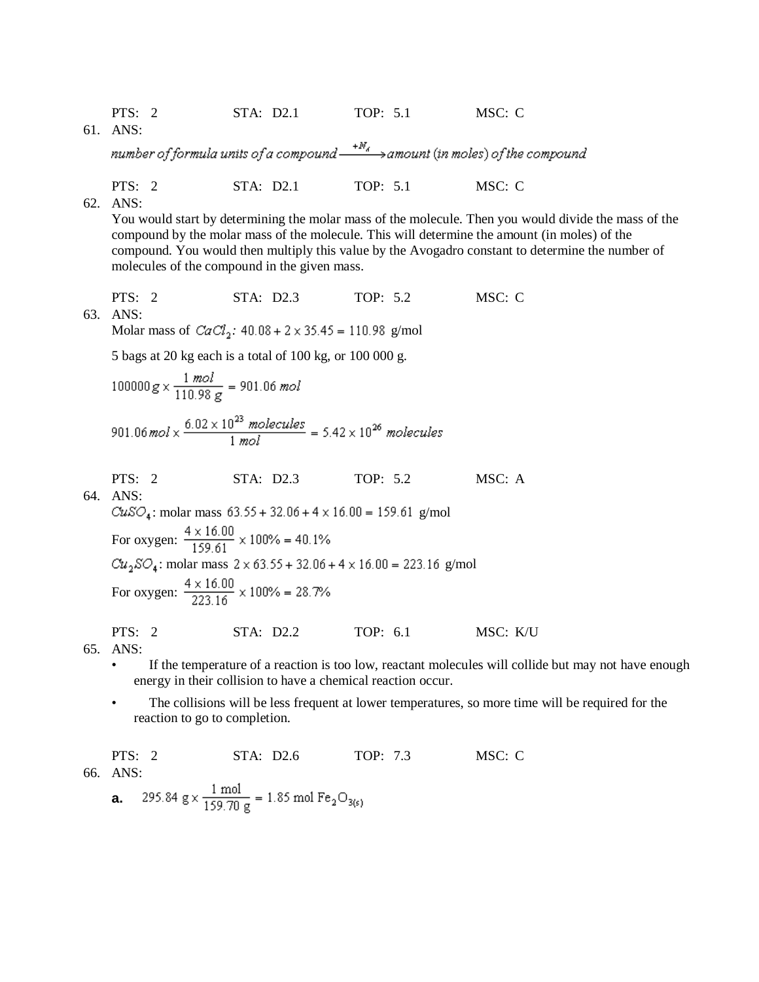61. ANS:

number of formula units of a compound  $\overset{+N_d}\longrightarrow$  amount (in moles) of the compound

PTS: 2 STA: D2.1 TOP: 5.1 MSC: C

62. ANS:

You would start by determining the molar mass of the molecule. Then you would divide the mass of the compound by the molar mass of the molecule. This will determine the amount (in moles) of the compound. You would then multiply this value by the Avogadro constant to determine the number of molecules of the compound in the given mass.

PTS: 2 STA: D2.3 TOP: 5.2 MSC: C 63. ANS:

Molar mass of  $CaCl<sub>2</sub>$ :  $40.08 + 2 \times 35.45 = 110.98$  g/mol

5 bags at 20 kg each is a total of 100 kg, or 100 000 g.

$$
100000 g \times \frac{1 \text{ mol}}{110.98 \text{ g}} = 901.06 \text{ mol}
$$
  

$$
901.06 \text{ mol} \times \frac{6.02 \times 10^{23} \text{ molecules}}{1 \text{ mol}} = 5.42 \times 10^{26} \text{ molecules}
$$

PTS: 2 STA: D2.3 TOP: 5.2 MSC: A

64. ANS:

 $CuSO_4$ : molar mass 63.55 + 32.06 + 4 x 16.00 = 159.61 g/mol For oxygen:  $\frac{4 \times 16.00}{159.61} \times 100\% = 40.1\%$  $Cu_2SO_4\colon \text{molar mass }2\times 63.55+32.06+4\times 16.00=223.16$  g/mol For oxygen:  $\frac{4 \times 16.00}{223.16} \times 100\% = 28.7\%$ 

PTS: 2 STA: D2.2 TOP: 6.1 MSC: K/U

65. ANS:

- If the temperature of a reaction is too low, reactant molecules will collide but may not have enough energy in their collision to have a chemical reaction occur.
- The collisions will be less frequent at lower temperatures, so more time will be required for the reaction to go to completion.

PTS: 2 STA: D2.6 TOP: 7.3 MSC: C 66. ANS: 295.84 g  $\times \frac{1 \text{ mol}}{159.70 \text{ g}}$  = 1.85 mol Fe<sub>2</sub>O<sub>3(s)</sub> **a.**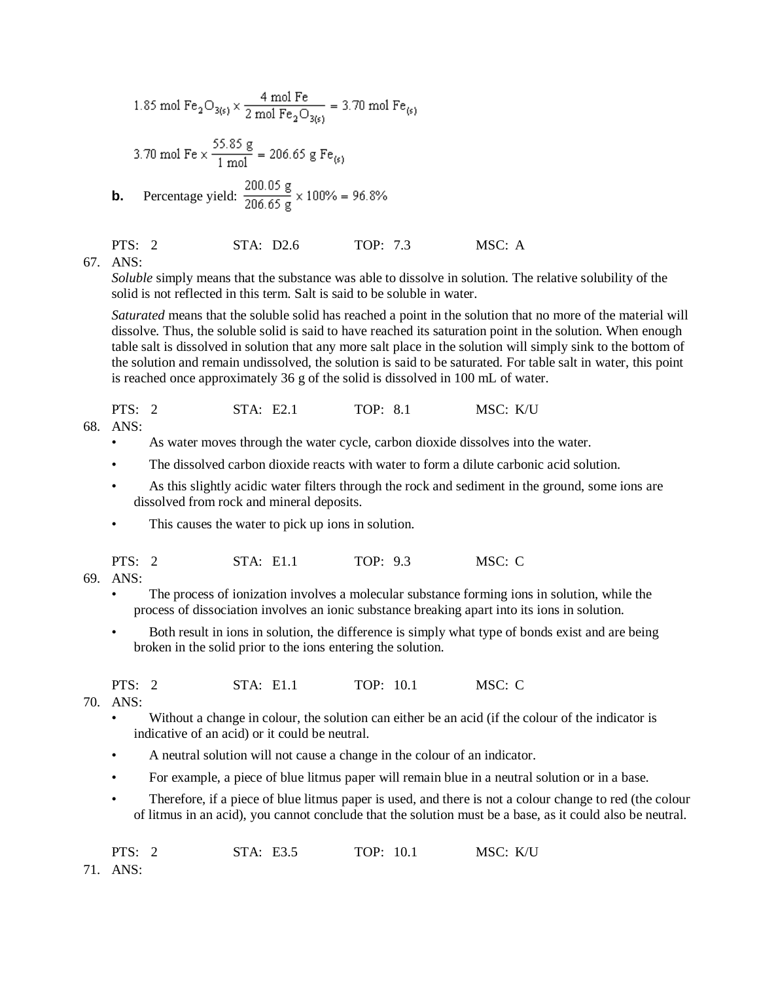$$
1.85 \text{ mol Fe}_2\text{O}_{3(s)} \times \frac{4 \text{ mol Fe}}{2 \text{ mol Fe}_2\text{O}_{3(s)}} = 3.70 \text{ mol Fe}_{(s)}
$$

3.70 mol Fe × 
$$
\frac{55.85 \text{ g}}{1 \text{ mol}}
$$
 = 206.65 g Fe<sub>(s)</sub>

**b.** Percentage yield: 
$$
\frac{200.05 \text{ g}}{206.65 \text{ g}} \times 100\% = 96.8\%
$$

PTS: 2 STA: D2.6 TOP: 7.3 MSC: A

67. ANS:

*Soluble* simply means that the substance was able to dissolve in solution. The relative solubility of the solid is not reflected in this term. Salt is said to be soluble in water.

*Saturated* means that the soluble solid has reached a point in the solution that no more of the material will dissolve. Thus, the soluble solid is said to have reached its saturation point in the solution. When enough table salt is dissolved in solution that any more salt place in the solution will simply sink to the bottom of the solution and remain undissolved, the solution is said to be saturated. For table salt in water, this point is reached once approximately 36 g of the solid is dissolved in 100 mL of water.

PTS: 2 STA: E2.1 TOP: 8.1 MSC: K/U

68. ANS:

- •As water moves through the water cycle, carbon dioxide dissolves into the water.
- The dissolved carbon dioxide reacts with water to form a dilute carbonic acid solution.
- •As this slightly acidic water filters through the rock and sediment in the ground, some ions are dissolved from rock and mineral deposits.
- This causes the water to pick up ions in solution.

| PTS: $2$<br>TOP: 9.3<br>STA: E1.1 | MSC: C |
|-----------------------------------|--------|
|-----------------------------------|--------|

69. ANS:

- •The process of ionization involves a molecular substance forming ions in solution, while the process of dissociation involves an ionic substance breaking apart into its ions in solution.
- Both result in ions in solution, the difference is simply what type of bonds exist and are being broken in the solid prior to the ions entering the solution.

PTS: 2 STA: E1.1 TOP: 10.1 MSC: C

- 70. ANS:
	- Without a change in colour, the solution can either be an acid (if the colour of the indicator is indicative of an acid) or it could be neutral.
	- •A neutral solution will not cause a change in the colour of an indicator.
	- For example, a piece of blue litmus paper will remain blue in a neutral solution or in a base.
	- •Therefore, if a piece of blue litmus paper is used, and there is not a colour change to red (the colour of litmus in an acid), you cannot conclude that the solution must be a base, as it could also be neutral.

| PTS: $2$ | STA: E3.5 | TOP: 10.1 | MSC: K/U |
|----------|-----------|-----------|----------|
| 71 ANTO  |           |           |          |

71. ANS: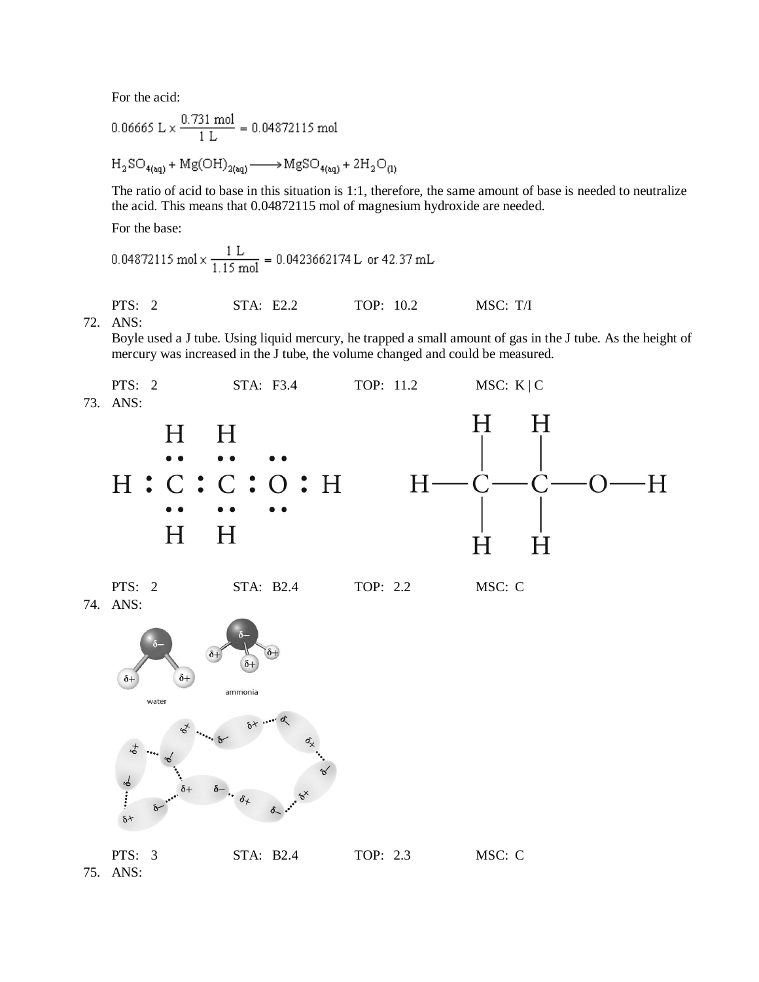For the acid:

$$
0.06665 \text{ L} \times \frac{0.731 \text{ mol}}{1 \text{ L}} = 0.04872115 \text{ mol}
$$

$$
H_2SO_{4(aq)} + Mg(OH)_{2(aq)} \longrightarrow MgSO_{4(aq)} + 2H_2O_{(1)}
$$

The ratio of acid to base in this situation is 1:1, therefore, the same amount of base is needed to neutralize the acid. This means that 0.04872115 mol of magnesium hydroxide are needed.

For the base:

$$
0.04872115 \text{ mol} \times \frac{1 \text{ L}}{1.15 \text{ mol}} = 0.0423662174 \text{ L or } 42.37 \text{ mL}
$$

PTS: 2 STA: E2.2 TOP: 10.2 MSC: T/I 72. ANS:

Boyle used a J tube. Using liquid mercury, he trapped a small amount of gas in the J tube. As the height of mercury was increased in the J tube, the volume changed and could be measured.



74. ANS:

PTS: 2 STA: B2.4 TOP: 2.2 MSC: C



PTS: 3 STA: B2.4 TOP: 2.3 MSC: C 75. ANS: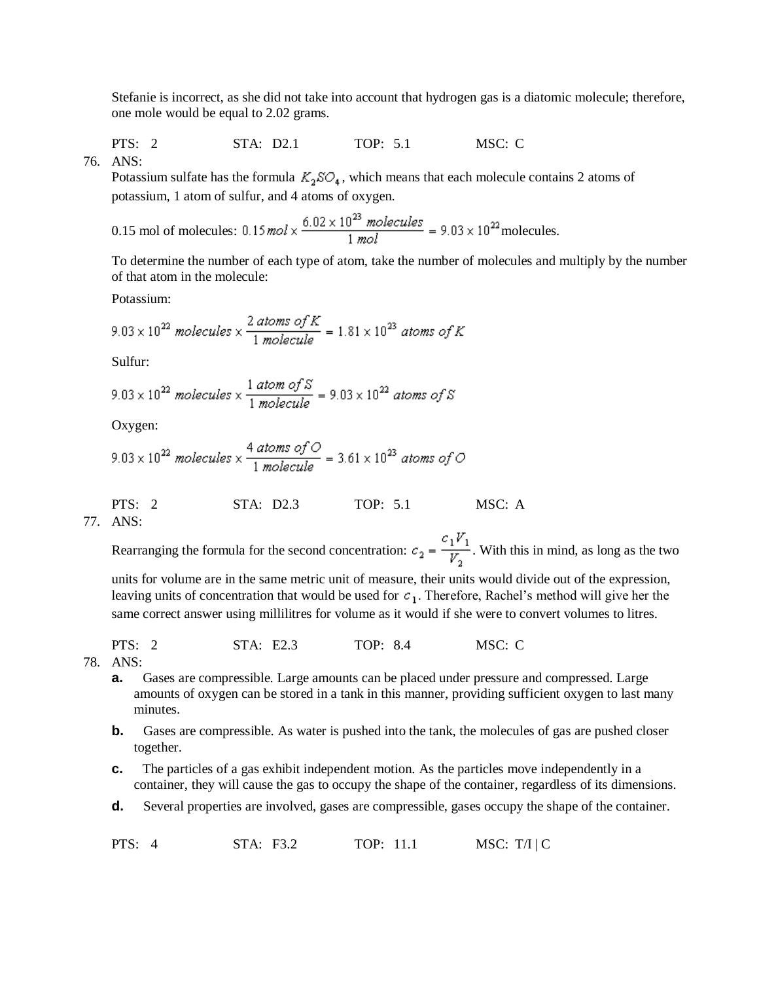Stefanie is incorrect, as she did not take into account that hydrogen gas is a diatomic molecule; therefore, one mole would be equal to 2.02 grams.

PTS: 2 STA: D2.1 TOP: 5.1 MSC: C

 $76$  ANS

Potassium sulfate has the formula  $K_2SO_4$ , which means that each molecule contains 2 atoms of potassium, 1 atom of sulfur, and 4 atoms of oxygen.

0.15 mol of molecules: 
$$
0.15 \text{ mol} \times \frac{6.02 \times 10^{23} \text{ molecules}}{1 \text{ mol}} = 9.03 \times 10^{22} \text{molecules}.
$$

To determine the number of each type of atom, take the number of molecules and multiply by the number of that atom in the molecule:

Potassium:

$$
9.03 \times 10^{22} \text{ molecules} \times \frac{2 \text{ atoms of } K}{1 \text{ molecule}} = 1.81 \times 10^{23} \text{ atoms of } K
$$

Sulfur:

$$
9.03 \times 10^{22} \text{ molecules} \times \frac{1 \text{ atom of S}}{1 \text{ molecule}} = 9.03 \times 10^{22} \text{ atoms of S}
$$

Oxygen:

$$
9.03 \times 10^{22} \text{ molecules} \times \frac{4 \text{ atoms of } \text{O}}{1 \text{ molecule}} = 3.61 \times 10^{23} \text{ atoms of } \text{O}
$$

PTS: 2 STA: D2.3 TOP: 5.1 MSC: A

77. ANS:

Rearranging the formula for the second concentration:  $c_2 = \frac{c_1 V_1}{V_2}$ . With this in mind, as long as the two

units for volume are in the same metric unit of measure, their units would divide out of the expression, leaving units of concentration that would be used for  $c_1$ . Therefore, Rachel's method will give her the same correct answer using millilitres for volume as it would if she were to convert volumes to litres.

PTS: 2 STA: E2.3 TOP: 8.4 MSC: C

78. ANS:

- **a.** Gases are compressible. Large amounts can be placed under pressure and compressed. Large amounts of oxygen can be stored in a tank in this manner, providing sufficient oxygen to last many minutes.
- **b.** Gases are compressible. As water is pushed into the tank, the molecules of gas are pushed closer together.
- **c.** The particles of a gas exhibit independent motion. As the particles move independently in a container, they will cause the gas to occupy the shape of the container, regardless of its dimensions.
- **d.** Several properties are involved, gases are compressible, gases occupy the shape of the container.

PTS: 4 STA: F3.2 TOP: 11.1 MSC: T/I | C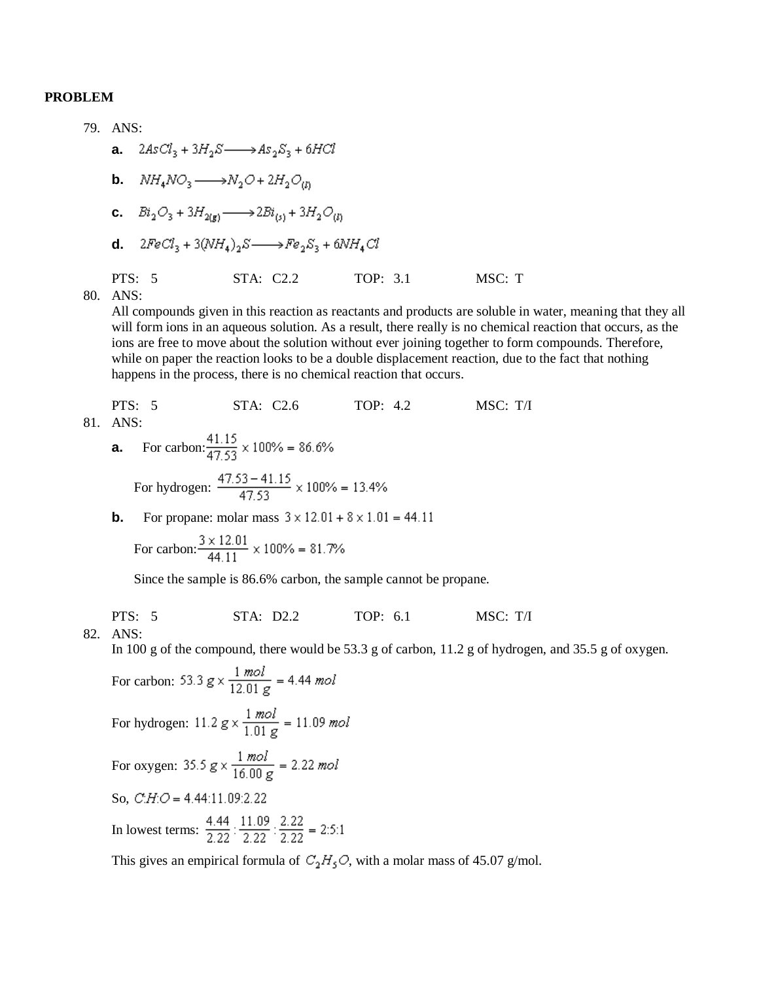#### **PROBLEM**

79. ANS: **a.**  $2AsCl_3 + 3H_2S \longrightarrow As_2S_3 + 6HCl$ **b.**  $NH_4NO_3 \longrightarrow N_2O + 2H_2O_{10}$ **c.**  $Bi_2O_3 + 3H_{2(n)} \longrightarrow 2Bi_{(n)} + 3H_2O_{(n)}$ **d.**  $2FeCl_3 + 3(NH_4)_2S \longrightarrow Fe_2S_3 + 6NH_4Cl$ PTS: 5 STA: C2.2 TOP: 3.1 MSC: T 80. ANS:

All compounds given in this reaction as reactants and products are soluble in water, meaning that they all will form ions in an aqueous solution. As a result, there really is no chemical reaction that occurs, as the ions are free to move about the solution without ever joining together to form compounds. Therefore, while on paper the reaction looks to be a double displacement reaction, due to the fact that nothing happens in the process, there is no chemical reaction that occurs.

PTS: 5

\nSTA: C2.6

\nTOP: 4.2

\nMSC: T/I

\nANS:

\n**a.** For carbon: 
$$
\frac{41.15}{47.53} \times 100\% = 86.6\%
$$

\nFor hydrogen:  $\frac{47.53 - 41.15}{47.53} \times 100\% = 13.4\%$ 

\n**b.** For propane: molar mass  $3 \times 12.01 + 8 \times 1.01 = 44.11$ 

For carbon: 
$$
\frac{3 \times 12.01}{44.11} \times 100\% = 81.7\%
$$

Since the sample is 86.6% carbon, the sample cannot be propane.

PTS: 5 STA: D2.2 TOP: 6.1 MSC: T/I

82. ANS:

81.

In 100 g of the compound, there would be 53.3 g of carbon, 11.2 g of hydrogen, and 35.5 g of oxygen.

For carbon: 53.3  $g \times \frac{1 \text{ mol}}{12.01 \text{ g}} = 4.44 \text{ mol}$ For hydrogen:  $11.2 g \times \frac{1 \text{ mol}}{1.01 g} = 11.09 \text{ mol}$ For oxygen:  $35.5 g \times \frac{1 \text{ mol}}{16.00 g} = 2.22 \text{ mol}$ So,  $CH.O = 4.44:11.09:2.22$ In lowest terms:  $\frac{4.44}{2.22}$  :  $\frac{11.09}{2.22}$  :  $\frac{2.22}{2.22}$  = 2:5:1

This gives an empirical formula of  $C_2H_5O$ , with a molar mass of 45.07 g/mol.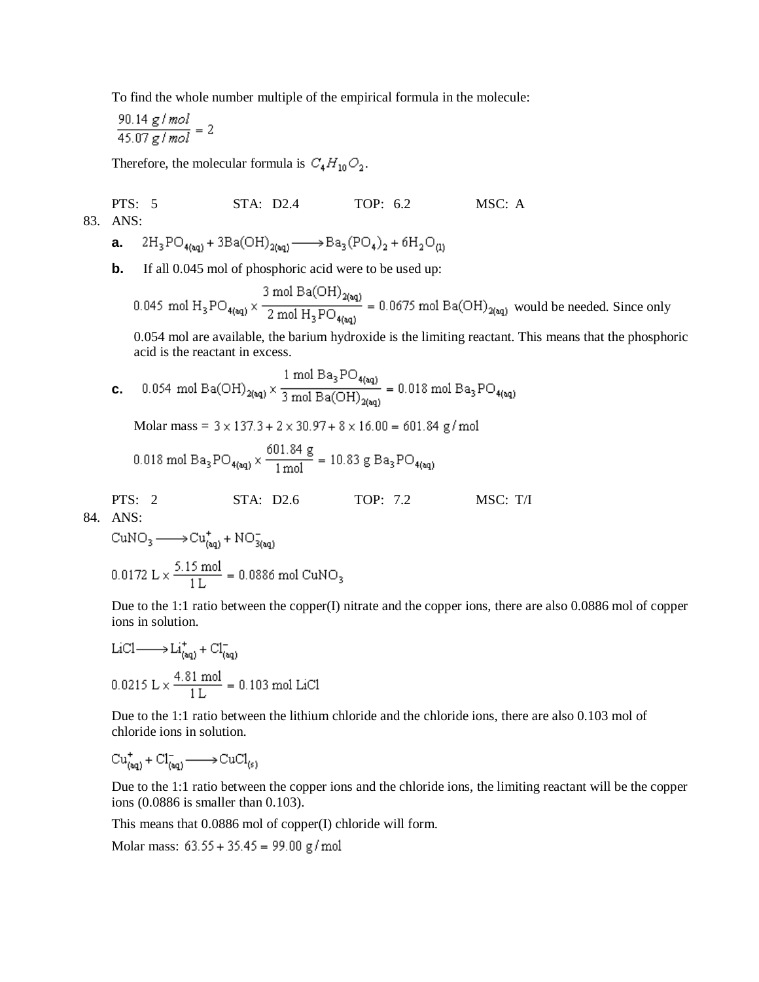To find the whole number multiple of the empirical formula in the molecule:

$$
\frac{90.14 \text{ g/mol}}{45.07 \text{ g/mol}} = 2
$$

Therefore, the molecular formula is  $C_4H_{10}O_2$ .

PTS: 5 STA: D2.4 TOP: 6.2 MSC: A 83. ANS:

**a.** 
$$
2H_3PO_{4(aq)} + 3Ba(OH)_{2(aq)} \longrightarrow Ba_3(PO_4)_2 + 6H_2O_{(1)}
$$

**b.** If all 0.045 mol of phosphoric acid were to be used up:

0.045 mol  $H_3PO_{4(\text{sq})} \times \frac{3 \text{ mol Ba(OH)}_{2(\text{sq})}}{2 \text{ mol H}_3PO_{4(\text{sq})}} = 0.0675 \text{ mol Ba(OH)}_{2(\text{sq})}$  would be needed. Since only

0.054 mol are available, the barium hydroxide is the limiting reactant. This means that the phosphoric acid is the reactant in excess.

 $0.054 \ \, \text{mol Ba(OH)}_{2\text{(aq)}} \times \frac{1 \ \, \text{mol Ba}_{3} \, \text{PO}_{4\text{(aq)}}}{3 \ \, \text{mol Ba(OH)}_{2\text{(aq)}}} = 0.018 \ \, \text{mol Ba}_{3} \, \text{PO}_{4\text{(aq)}}$ **c.** 

Molar mass =  $3 \times 137.3 + 2 \times 30.97 + 8 \times 16.00 = 601.84$  g/mol

$$
0.018 \text{ mol Ba}_{3} \text{PO}_{4(aq)} \times \frac{601.84 \text{ g}}{1 \text{ mol}} = 10.83 \text{ g Ba}_{3} \text{PO}_{4(aq)}
$$

PTS: 2 STA: D2.6 TOP: 7.2 MSC: T/I

84. ANS:

$$
\mathrm{CuNO}_{3} \longrightarrow \mathrm{Cu}_{(\mathrm{aq})}^+ + \mathrm{NO}_{3(\mathrm{aq})}^-
$$

$$
0.0172 \text{ L} \times \frac{5.15 \text{ mol}}{1 \text{ L}} = 0.0886 \text{ mol} \text{ CuNO}_3
$$

Due to the 1:1 ratio between the copper(I) nitrate and the copper ions, there are also 0.0886 mol of copper ions in solution.

$$
LiCl \longrightarrow Li_{(aq)}^{+} + Cl_{(aq)}^{-}
$$
  
0.0215 L ×  $\frac{4.81 \text{ mol}}{1 \text{ L}}$  = 0.103 mol LiCl

Due to the 1:1 ratio between the lithium chloride and the chloride ions, there are also 0.103 mol of chloride ions in solution.

 $Cu<sup>+</sup><sub>(aa)</sub> + Cl<sup>-</sup><sub>(aa)</sub> \longrightarrow CuCl<sub>(s)</sub>$ 

Due to the 1:1 ratio between the copper ions and the chloride ions, the limiting reactant will be the copper ions (0.0886 is smaller than 0.103).

This means that 0.0886 mol of copper(I) chloride will form.

Molar mass:  $63.55 + 35.45 = 99.00$  g/mol